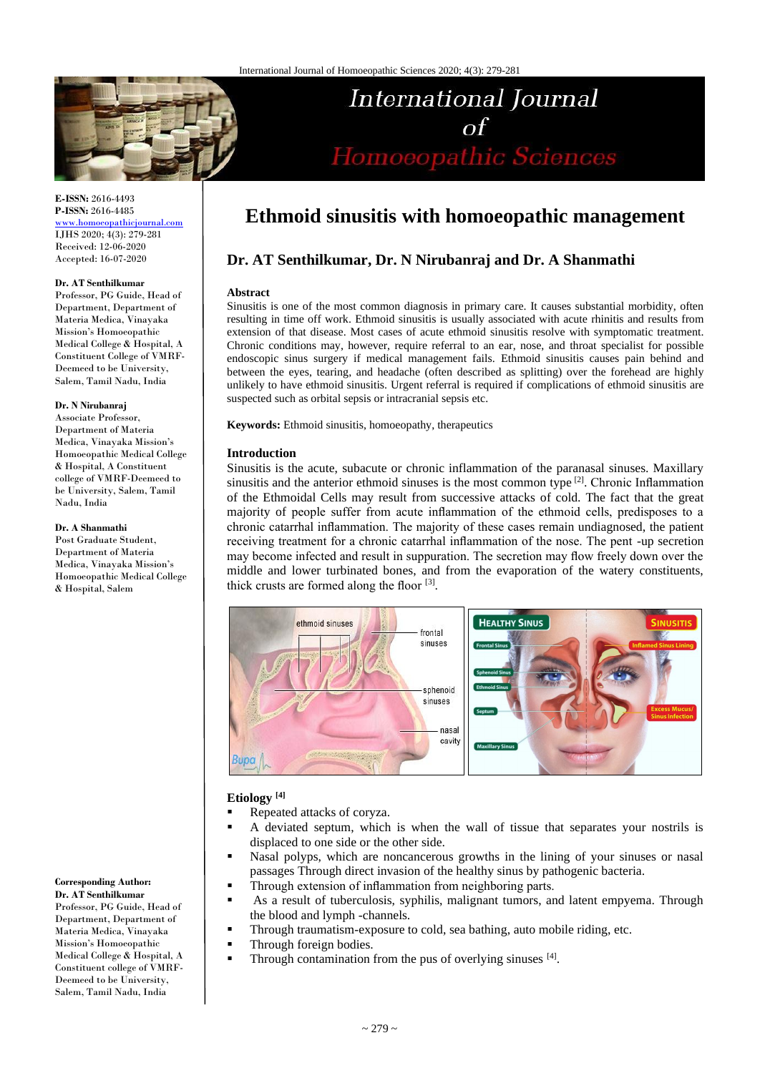

# International Journal  $\sigma$ f Homoeopathic Sciences

**E-ISSN:** 2616-4493 **P-ISSN:** 2616-4485

[www.homoeopathicjournal.com](http://www.homoeopathicjournal.com/) IJHS 2020; 4(3): 279-281 Received: 12-06-2020 Accepted: 16-07-2020

#### **Dr. AT Senthilkumar**

Professor, PG Guide, Head of Department, Department of Materia Medica, Vinayaka Mission's Homoeopathic Medical College & Hospital, A Constituent College of VMRF-Deemeed to be University, Salem, Tamil Nadu, India

#### **Dr. N Nirubanraj**

Associate Professor, Department of Materia Medica, Vinayaka Mission's Homoeopathic Medical College & Hospital, A Constituent college of VMRF-Deemeed to be University, Salem, Tamil Nadu, India

#### **Dr. A Shanmathi**

Post Graduate Student, Department of Materia Medica, Vinayaka Mission's Homoeopathic Medical College & Hospital, Salem

**Corresponding Author: Dr. AT Senthilkumar**

Professor, PG Guide, Head of Department, Department of Materia Medica, Vinayaka Mission's Homoeopathic Medical College & Hospital, A Constituent college of VMRF-Deemeed to be University, Salem, Tamil Nadu, India

# **Ethmoid sinusitis with homoeopathic management**

# **Dr. AT Senthilkumar, Dr. N Nirubanraj and Dr. A Shanmathi**

#### **Abstract**

Sinusitis is one of the most common diagnosis in primary care. It causes substantial morbidity, often resulting in time off work. Ethmoid sinusitis is usually associated with acute rhinitis and results from extension of that disease. Most cases of acute ethmoid sinusitis resolve with symptomatic treatment. Chronic conditions may, however, require referral to an ear, nose, and throat specialist for possible endoscopic sinus surgery if medical management fails. Ethmoid sinusitis causes pain behind and between the eyes, tearing, and headache (often described as splitting) over the forehead are highly unlikely to have ethmoid sinusitis. Urgent referral is required if complications of ethmoid sinusitis are suspected such as orbital sepsis or intracranial sepsis etc.

**Keywords:** Ethmoid sinusitis, homoeopathy, therapeutics

#### **Introduction**

Sinusitis is the acute, subacute or chronic inflammation of the paranasal sinuses. Maxillary sinusitis and the anterior ethmoid sinuses is the most common type  $[2]$ . Chronic Inflammation of the Ethmoidal Cells may result from successive attacks of cold. The fact that the great majority of people suffer from acute inflammation of the ethmoid cells, predisposes to a chronic catarrhal inflammation. The majority of these cases remain undiagnosed, the patient receiving treatment for a chronic catarrhal inflammation of the nose. The pent -up secretion may become infected and result in suppuration. The secretion may flow freely down over the middle and lower turbinated bones, and from the evaporation of the watery constituents, thick crusts are formed along the floor [3].



# **Etiology [4]**

- Repeated attacks of coryza.
- A deviated septum, which is when the wall of tissue that separates your nostrils is displaced to one side or the other side.
- Nasal polyps, which are noncancerous growths in the lining of your sinuses or nasal passages Through direct invasion of the healthy sinus by pathogenic bacteria.
- **•** Through extension of inflammation from neighboring parts.
- As a result of tuberculosis, syphilis, malignant tumors, and latent empyema. Through the blood and lymph -channels.
- **•** Through traumatism-exposure to cold, sea bathing, auto mobile riding, etc.
	- Through foreign bodies.
- **•** Through contamination from the pus of overlying sinuses  $[4]$ .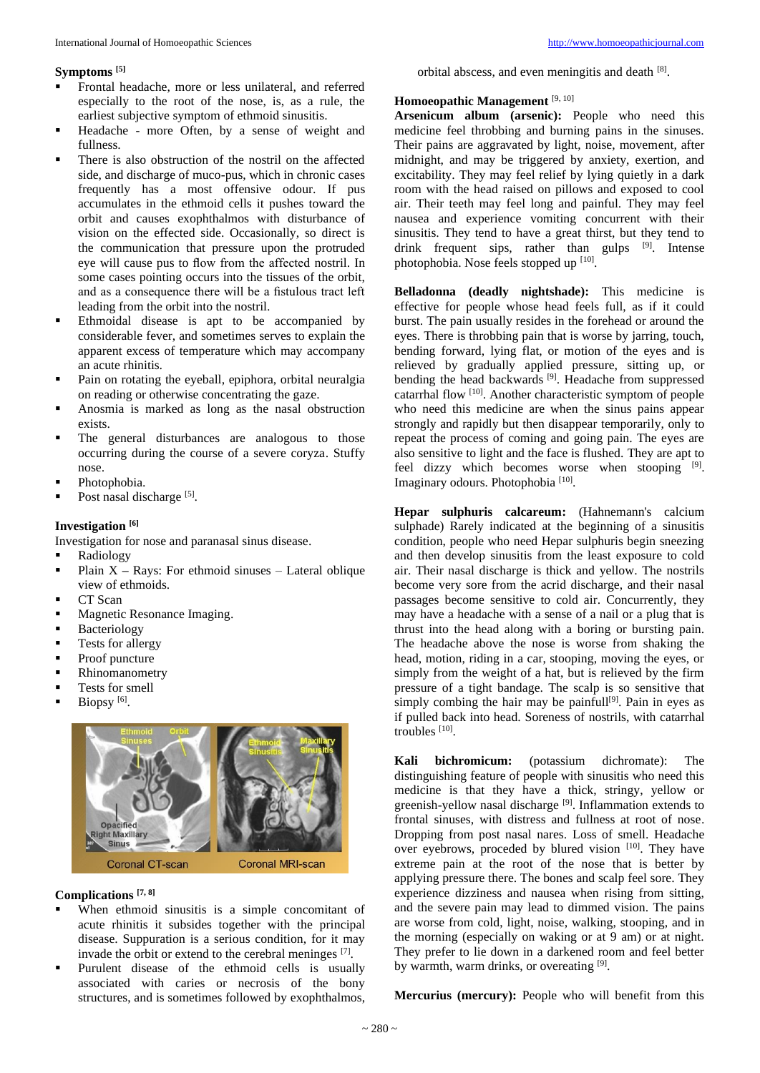#### **Symptoms [5]**

- Frontal headache, more or less unilateral, and referred especially to the root of the nose, is, as a rule, the earliest subjective symptom of ethmoid sinusitis.
- Headache more Often, by a sense of weight and fullness.
- There is also obstruction of the nostril on the affected side, and discharge of muco-pus, which in chronic cases frequently has a most offensive odour. If pus accumulates in the ethmoid cells it pushes toward the orbit and causes exophthalmos with disturbance of vision on the effected side. Occasionally, so direct is the communication that pressure upon the protruded eye will cause pus to flow from the affected nostril. In some cases pointing occurs into the tissues of the orbit, and as a consequence there will be a fistulous tract left leading from the orbit into the nostril.
- **Ethmoidal disease is apt to be accompanied by** considerable fever, and sometimes serves to explain the apparent excess of temperature which may accompany an acute rhinitis.
- Pain on rotating the eyeball, epiphora, orbital neuralgia on reading or otherwise concentrating the gaze.
- Anosmia is marked as long as the nasal obstruction exists.
- The general disturbances are analogous to those occurring during the course of a severe coryza. Stuffy nose.
- Photophobia.
- $\blacksquare$  Post nasal discharge [5].

# **Investigation [6]**

Investigation for nose and paranasal sinus disease.

- **Radiology**
- Plain X Rays: For ethmoid sinuses Lateral oblique view of ethmoids.
- CT Scan
- Magnetic Resonance Imaging.
- **•** Bacteriology
- **•** Tests for allergy
- Proof puncture
- **•** Rhinomanometry
- **•** Tests for smell
- $\blacksquare$  Biopsy [6].



# **Complications [7, 8]**

- When ethmoid sinusitis is a simple concomitant of acute rhinitis it subsides together with the principal disease. Suppuration is a serious condition, for it may invade the orbit or extend to the cerebral meninges [7].
- Purulent disease of the ethmoid cells is usually associated with caries or necrosis of the bony structures, and is sometimes followed by exophthalmos,

orbital abscess, and even meningitis and death [8].

### **Homoeopathic Management** [9, 10]

**Arsenicum album (arsenic):** People who need this medicine feel throbbing and burning pains in the sinuses. Their pains are aggravated by light, noise, movement, after midnight, and may be triggered by anxiety, exertion, and excitability. They may feel relief by lying quietly in a dark room with the head raised on pillows and exposed to cool air. Their teeth may feel long and painful. They may feel nausea and experience vomiting concurrent with their sinusitis. They tend to have a great thirst, but they tend to drink frequent sips, rather than gulps  $[9]$ . Intense photophobia. Nose feels stopped up [10].

**Belladonna (deadly nightshade):** This medicine is effective for people whose head feels full, as if it could burst. The pain usually resides in the forehead or around the eyes. There is throbbing pain that is worse by jarring, touch, bending forward, lying flat, or motion of the eyes and is relieved by gradually applied pressure, sitting up, or bending the head backwards<sup>[9]</sup>. Headache from suppressed catarrhal flow <sup>[10]</sup>. Another characteristic symptom of people who need this medicine are when the sinus pains appear strongly and rapidly but then disappear temporarily, only to repeat the process of coming and going pain. The eyes are also sensitive to light and the face is flushed. They are apt to feel dizzy which becomes worse when stooping [9]. Imaginary odours. Photophobia<sup>[10]</sup>.

**Hepar sulphuris calcareum:** (Hahnemann's calcium sulphade) Rarely indicated at the beginning of a sinusitis condition, people who need Hepar sulphuris begin sneezing and then develop sinusitis from the least exposure to cold air. Their nasal discharge is thick and yellow. The nostrils become very sore from the acrid discharge, and their nasal passages become sensitive to cold air. Concurrently, they may have a headache with a sense of a nail or a plug that is thrust into the head along with a boring or bursting pain. The headache above the nose is worse from shaking the head, motion, riding in a car, stooping, moving the eyes, or simply from the weight of a hat, but is relieved by the firm pressure of a tight bandage. The scalp is so sensitive that simply combing the hair may be painfull<sup>[9]</sup>. Pain in eyes as if pulled back into head. Soreness of nostrils, with catarrhal troubles [10].

**Kali bichromicum:** (potassium dichromate): The distinguishing feature of people with sinusitis who need this medicine is that they have a thick, stringy, yellow or greenish-yellow nasal discharge<sup>[9]</sup>. Inflammation extends to frontal sinuses, with distress and fullness at root of nose. Dropping from post nasal nares. Loss of smell. Headache over eyebrows, proceded by blured vision [10]. They have extreme pain at the root of the nose that is better by applying pressure there. The bones and scalp feel sore. They experience dizziness and nausea when rising from sitting, and the severe pain may lead to dimmed vision. The pains are worse from cold, light, noise, walking, stooping, and in the morning (especially on waking or at 9 am) or at night. They prefer to lie down in a darkened room and feel better by warmth, warm drinks, or overeating [9].

**Mercurius (mercury):** People who will benefit from this